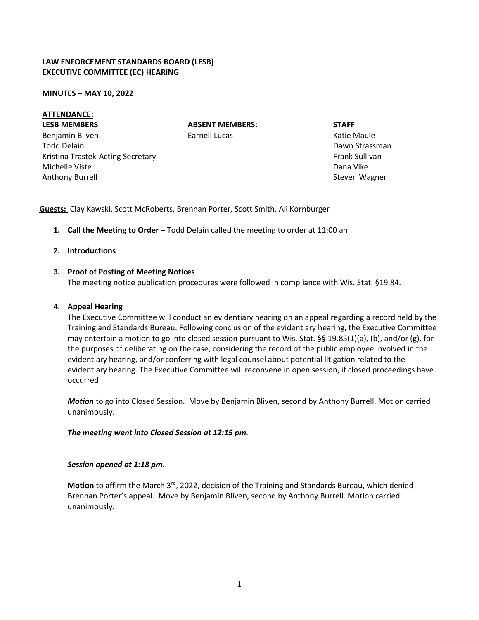## **LAW ENFORCEMENT STANDARDS BOARD (LESB) EXECUTIVE COMMITTEE (EC) HEARING**

#### **MINUTES – MAY 10, 2022**

## **ATTENDANCE:**

#### **LESB MEMBERS**

Benjamin Bliven Todd Delain Kristina Trastek-Acting Secretary Michelle Viste Anthony Burrell

**ABSENT MEMBERS:**

Earnell Lucas

**STAFF**

Katie Maule Dawn Strassman Frank Sullivan Dana Vike Steven Wagner

**Guests:** Clay Kawski, Scott McRoberts, Brennan Porter, Scott Smith, Ali Kornburger

**1. Call the Meeting to Order** – Todd Delain called the meeting to order at 11:00 am.

## **2. Introductions**

## **3. Proof of Posting of Meeting Notices**

The meeting notice publication procedures were followed in compliance with Wis. Stat. §19.84.

## **4. Appeal Hearing**

The Executive Committee will conduct an evidentiary hearing on an appeal regarding a record held by the Training and Standards Bureau. Following conclusion of the evidentiary hearing, the Executive Committee may entertain a motion to go into closed session pursuant to Wis. Stat. §§ 19.85(1)(a), (b), and/or (g), for the purposes of deliberating on the case, considering the record of the public employee involved in the evidentiary hearing, and/or conferring with legal counsel about potential litigation related to the evidentiary hearing. The Executive Committee will reconvene in open session, if closed proceedings have occurred.

*Motion* to go into Closed Session. Move by Benjamin Bliven, second by Anthony Burrell. Motion carried unanimously.

## *The meeting went into Closed Session at 12:15 pm.*

## *Session opened at 1:18 pm.*

Motion to affirm the March 3<sup>rd</sup>, 2022, decision of the Training and Standards Bureau, which denied Brennan Porter's appeal. Move by Benjamin Bliven, second by Anthony Burrell. Motion carried unanimously.